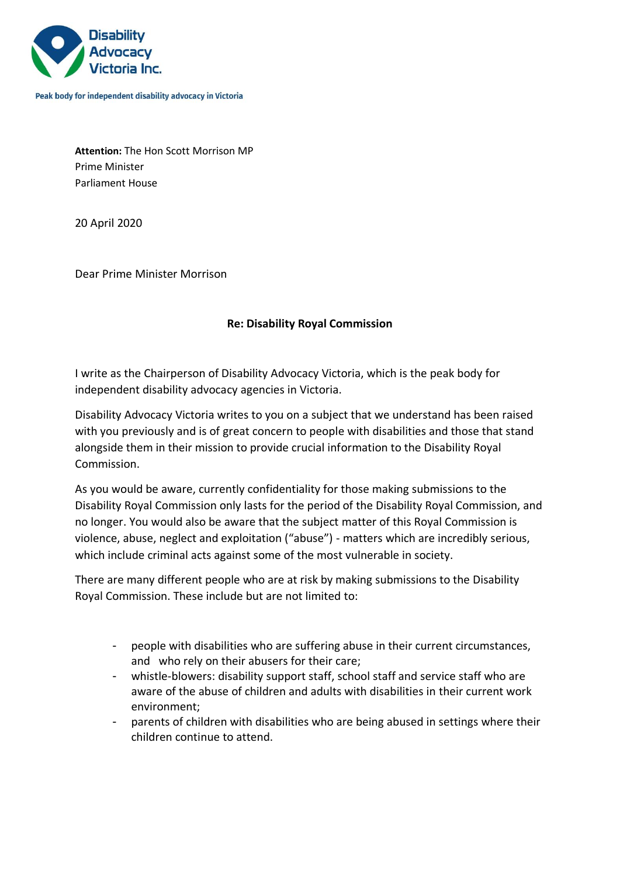

Peak body for independent disability advocacy in Victoria

**Attention:** The Hon Scott Morrison MP Prime Minister Parliament House

20 April 2020

Dear Prime Minister Morrison

## **Re: Disability Royal Commission**

I write as the Chairperson of Disability Advocacy Victoria, which is the peak body for independent disability advocacy agencies in Victoria.

Disability Advocacy Victoria writes to you on a subject that we understand has been raised with you previously and is of great concern to people with disabilities and those that stand alongside them in their mission to provide crucial information to the Disability Royal Commission.

As you would be aware, currently confidentiality for those making submissions to the Disability Royal Commission only lasts for the period of the Disability Royal Commission, and no longer. You would also be aware that the subject matter of this Royal Commission is violence, abuse, neglect and exploitation ("abuse") - matters which are incredibly serious, which include criminal acts against some of the most vulnerable in society.

There are many different people who are at risk by making submissions to the Disability Royal Commission. These include but are not limited to:

- people with disabilities who are suffering abuse in their current circumstances, and who rely on their abusers for their care;
- whistle-blowers: disability support staff, school staff and service staff who are aware of the abuse of children and adults with disabilities in their current work environment;
- parents of children with disabilities who are being abused in settings where their children continue to attend.